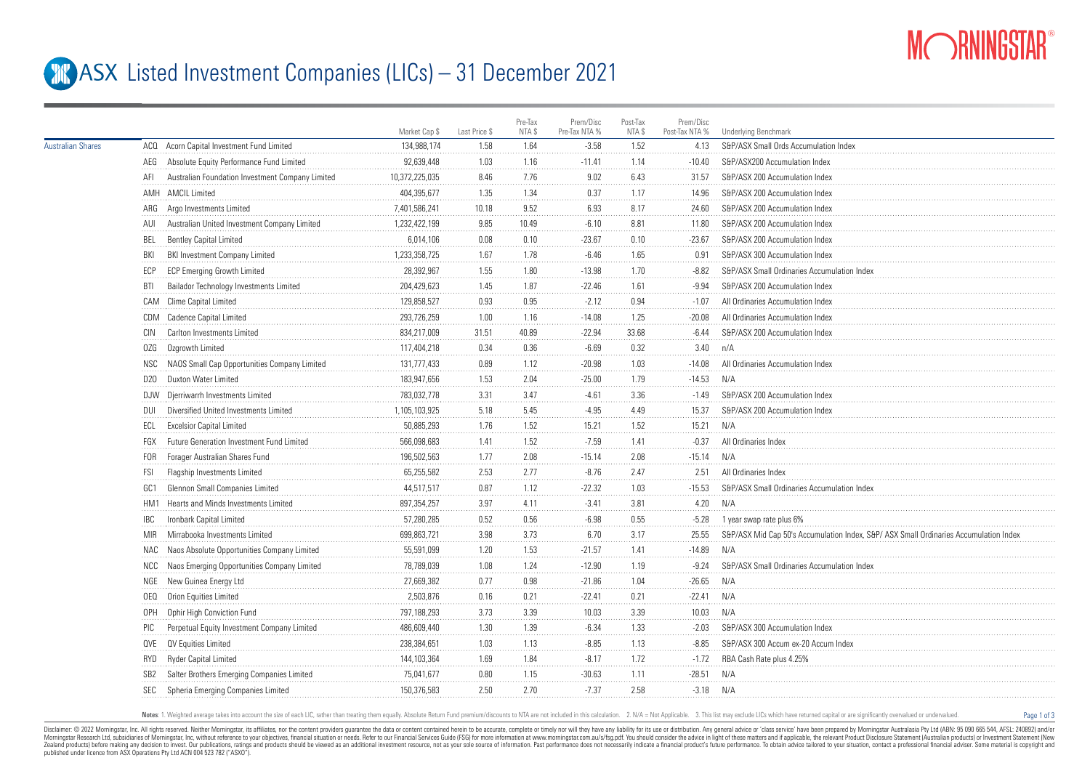

Page 1 of 3

## **ASX** Listed Investment Companies (LICs) – 31 December 2021

|                          |            |                                                  | Market Cap \$  | Last Price \$ | Pre-Tax<br>NTA \$ | Prem/Disc<br>Pre-Tax NTA % | Post-Tax<br>NTA \$ | Prem/Disc<br>Post-Tax NTA % | <b>Underlying Benchmark</b>                                                          |
|--------------------------|------------|--------------------------------------------------|----------------|---------------|-------------------|----------------------------|--------------------|-----------------------------|--------------------------------------------------------------------------------------|
| <b>Australian Shares</b> |            | ACQ Acorn Capital Investment Fund Limited        | 134,988,174    | 1.58          | 1.64              | $-3.58$                    | 1.52               | 4.13                        | S&P/ASX Small Ords Accumulation Index                                                |
|                          | AEG        | Absolute Equity Performance Fund Limited         | 92,639,448     | 1.03          | 1.16              | $-11.41$                   | 1.14               | $-10.40$                    | S&P/ASX200 Accumulation Index                                                        |
|                          | AFI        | Australian Foundation Investment Company Limited | 10,372,225,035 | 8.46          | 7.76              | 9.02                       | 6.43               | 31.57                       | S&P/ASX 200 Accumulation Index                                                       |
|                          |            | AMH AMCIL Limited                                | 404,395,677    | 1.35          | 1.34              | 0.37                       | 1.17               | 14.96                       | S&P/ASX 200 Accumulation Index                                                       |
|                          |            | ARG Argo Investments Limited                     | 7,401,586,241  | 10.18         | 9.52              | 6.93                       | 8.17               | 24.60                       | S&P/ASX 200 Accumulation Index                                                       |
|                          | AUI        | Australian United Investment Company Limited     | 1,232,422,199  | 9.85          | 10.49             | $-6.10$                    | 8.81               | 11.80                       | S&P/ASX 200 Accumulation Index                                                       |
|                          | BEL        | <b>Bentley Capital Limited</b>                   | 6,014,106      | 0.08          | 0.10              | $-23.67$                   | 0.10               | $-23.67$                    | S&P/ASX 200 Accumulation Index                                                       |
|                          | BKI        | <b>BKI Investment Company Limited</b>            | 1,233,358,725  | 1.67          | 1.78              | $-6.46$                    | 1.65               | 0.91                        | S&P/ASX 300 Accumulation Index                                                       |
|                          | ECP        | <b>ECP Emerging Growth Limited</b>               | 28,392,967     | 1.55          | 1.80              | $-13.98$                   | 1.70               | $-8.82$                     | S&P/ASX Small Ordinaries Accumulation Index                                          |
|                          | BTI        | Bailador Technology Investments Limited          | 204,429,623    | 1.45          | 1.87              | $-22.46$                   | 1.61               | $-9.94$                     | S&P/ASX 200 Accumulation Index                                                       |
|                          |            | CAM Clime Capital Limited                        | 129,858,527    | 0.93          | 0.95              | $-2.12$                    | 0.94               | $-1.07$                     | All Ordinaries Accumulation Index                                                    |
|                          |            | CDM Cadence Capital Limited                      | 293,726,259    | 1.00          | 1.16              | $-14.08$                   | 1.25               | $-20.08$                    | All Ordinaries Accumulation Index                                                    |
|                          | CIN        | Carlton Investments Limited                      | 834,217,009    | 31.51         | 40.89             | $-22.94$                   | 33.68              | $-6.44$                     | S&P/ASX 200 Accumulation Index                                                       |
|                          | 0ZG        | Ozgrowth Limited                                 | 117,404,218    | 0.34          | 0.36              | $-6.69$                    | 0.32               | 3.40                        | n/A                                                                                  |
|                          | NSC        | NAOS Small Cap Opportunities Company Limited     | 131,777,433    | 0.89          | 1.12              | $-20.98$                   | $1.03$             | $-14.08$                    | All Ordinaries Accumulation Inde:                                                    |
|                          |            | D20 Duxton Water Limited                         | 183,947,656    | 1.53          | 2.04              | $-25.00$                   | 1.79               | $-14.53$                    | N/A                                                                                  |
|                          |            | DJW Djerriwarrh Investments Limited              | 783,032,778    | 3.31          | 3.47              | $-4.61$                    | 3.36               | $-1.49$                     | S&P/ASX 200 Accumulation Index                                                       |
|                          | DUI        | Diversified United Investments Limited           | 1,105,103,925  | 5.18          | 5.45              | $-4.95$                    | 4.49               | 15.37                       | S&P/ASX 200 Accumulation Index                                                       |
|                          | ECL        | <b>Excelsior Capital Limited</b>                 | 50,885,293     | 1.76          | 1.52              | 15.21                      | 1.52               | 15.21                       | N/A                                                                                  |
|                          | FGX        | Future Generation Investment Fund Limited        | 566,098,683    | 1.41          | 1.52              | $-7.59$                    | 1.41               | $-0.37$                     | All Ordinaries Index                                                                 |
|                          | FOR        | Forager Australian Shares Fund                   | 196,502,563    | 1.77          | 2.08              | $-15.14$                   | 2.08               | $-15.14$                    | N/A                                                                                  |
|                          | FSI        | Flagship Investments Limited                     | 65,255,582     | 2.53          | 2.77              | $-8.76$                    | 2.47               | 2.51                        | All Ordinaries Index                                                                 |
|                          | GC1        | Glennon Small Companies Limited                  | 44,517,517     | 0.87          | 1.12              | $-22.32$                   | 1.03               | $-15.53$                    | S&P/ASX Small Ordinaries Accumulation Index                                          |
|                          |            | HM1 Hearts and Minds Investments Limited         | 897,354,257    | 3.97          | 4.11              | $-3.41$                    | 3.81               | 4.20                        | N/A                                                                                  |
|                          | <b>IBC</b> | Ironbark Capital Limited                         | 57,280,285     | 0.52          | 0.56              | $-6.98$                    | 0.55               | $-5.28$                     | 1 year swap rate plus 6%                                                             |
|                          | <b>MIR</b> | Mirrabooka Investments Limited                   | 699,863,721    | 3.98          | 3.73              | 6.70                       | 3.17               | 25.55                       | S&P/ASX Mid Cap 50's Accumulation Index, S&P/ASX Small Ordinaries Accumulation Index |
|                          |            | NAC Naos Absolute Opportunities Company Limited  | 55,591,099     | 1.20          | 1.53              | $-21.57$                   | 1.41               | $-14.89$                    | N/A                                                                                  |
|                          | NCC        | Naos Emerging Opportunities Company Limited      | 78,789,039     | 1.08          | 1.24              | $-12.90$                   | 1.19               | $-9.24$                     | S&P/ASX Small Ordinaries Accumulation Index                                          |
|                          |            | NGE New Guinea Energy Ltd                        | 27,669,382     | 0.77          | 0.98              | $-21.86$                   | 1.04               | $-26.65$                    | N/A                                                                                  |
|                          | 0EQ        | Orion Equities Limited                           | 2,503,876      | 0.16          | 0.21              | $-22.41$                   | 0.21               | $-22.41$                    | N/A                                                                                  |
|                          | 0PH        | Ophir High Conviction Fund                       | 797,188,293    | 3.73          | 3.39              | 10.03                      | 3.39               | 10.03                       | N/A                                                                                  |
|                          | PIC        | Perpetual Equity Investment Company Limited      | 486,609,440    | 1.30          | 1.39              | $-6.34$                    | 1.33               | $-2.03$                     | S&P/ASX 300 Accumulation Index                                                       |
|                          | 0VE        | QV Equities Limited                              | 238,384,651    | 1.03          | 1.13              | $-8.85$                    | 1.13               | $-8.85$                     | S&P/ASX 300 Accum ex-20 Accum Index                                                  |
|                          | RYD        | Ryder Capital Limited                            | 144,103,364    | 1.69          | 1.84              | $-8.17$                    | 1.72               | $-1.72$                     | RBA Cash Rate plus 4.25%                                                             |
|                          |            | Salter Brothers Emerging Companies Limited       | 75,041,677     | 0.80          | 1.15              | $-30.63$                   | 1.11               | $-28.51$                    | N/A                                                                                  |
|                          | SEC        | Spheria Emerging Companies Limited               | 150,376,583    | 2.50          | 2.70              | $-7.37$                    | 2.58               | $-3.18$                     | N/A                                                                                  |
|                          |            |                                                  |                |               |                   |                            |                    |                             |                                                                                      |

Notes: 1. Weighted average takes into account the size of each LIC, rather than treating them equally. Absolute Return Fund premium/discounts to NTA are not included in this calculation. 2. N/A = Not Applicable. 3. This li

Disclaimer: © 2022 Morninostar, Inc. All rights reseved. Neither Morninostar, its affiliates, nor the content providers quarantee the data or content consined herein to be accurate, complete or timely nor will they have an Morningstar Research Ltd, subsidiaries of Morningstar, Inc, without reference to your objectives, financial stuation or needs. Refer to our Financial Services Guide (FSG) for more information at www.morningstar.com.au/s/fs Zealand products) before making any decision to invest. Our publications, ratings and products should be viewed as an additional investment resource. not as your sole source of information. Past performance does not necess published under licence from ASX Operations Pty Ltd ACN 004 523 782 ("ASXO").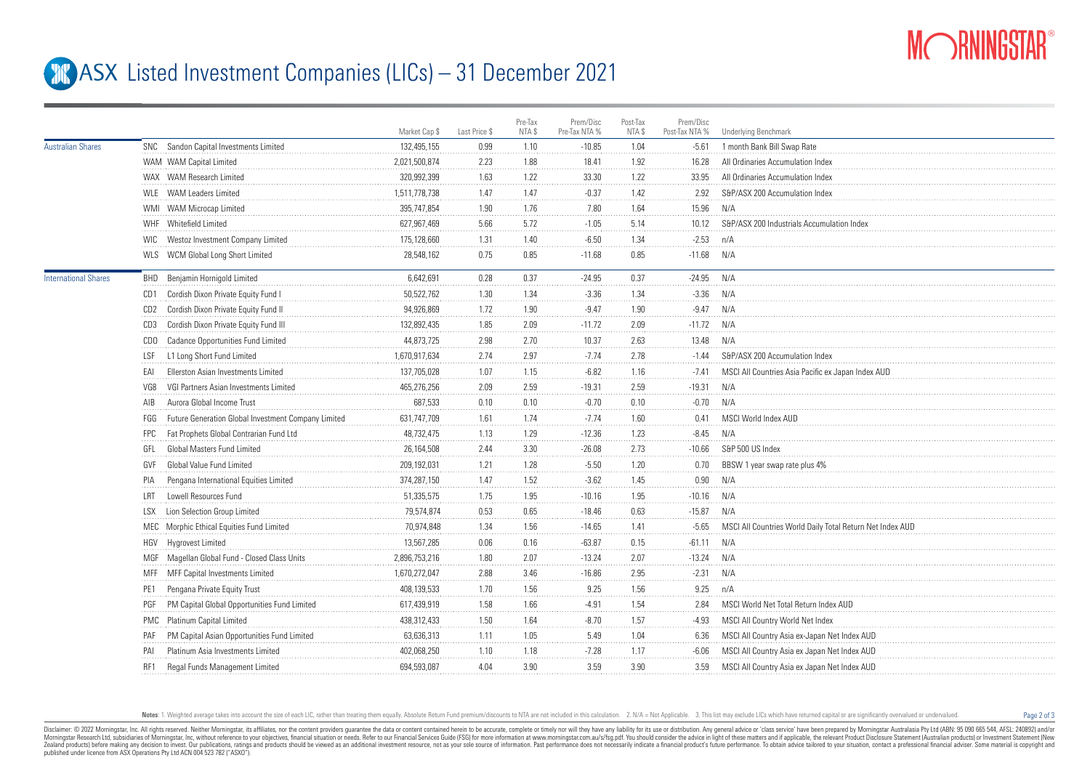

Page 2 of 3

## **ASX** Listed Investment Companies (LICs) – 31 December 2021

|                             |                                                            | Market Cap \$ | Last Price \$ | Pre-Tax<br>NTA \$ | Prem/Disc<br>Pre-Tax NTA % | Post-Tax<br>NTA \$ | Prem/Disc<br>Post-Tax NTA % | <b>Underlying Benchmark</b>                              |
|-----------------------------|------------------------------------------------------------|---------------|---------------|-------------------|----------------------------|--------------------|-----------------------------|----------------------------------------------------------|
| <b>Australian Shares</b>    | SNC Sandon Capital Investments Limited                     | 132,495,155   | 0.99          | 1.10              | $-10.85$                   | 1.04               | $-5.61$                     | 1 month Bank Bill Swap Rate                              |
|                             | WAM WAM Capital Limited                                    | 2,021,500,874 | 2.23          | 1.88              | 18.41                      | 1.92               | 16.28                       | All Ordinaries Accumulation Index                        |
|                             | WAX WAM Research Limited                                   | 320.992.399   | 1.63          | 1.22              | 33.30                      | 1.22               | 33.95                       | All Ordinaries Accumulation Index                        |
|                             | WLE WAM Leaders Limited                                    | 1.511.778.738 | 1.47          | 1.47              | $-0.37$                    | 1.42               | 2.92                        | S&P/ASX 200 Accumulation Index                           |
|                             | WMI WAM Microcap Limited                                   | 395,747,854   | 1.90          | 1.76              | 7.80                       | 1.64               | 15.96                       | N/A                                                      |
|                             | WHF Whitefield Limited                                     | 627,967,469   | 5.66          | 5.72              | $-1.05$                    | 5.14               | 10.12                       | S&P/ASX 200 Industrials Accumulation Index               |
|                             | Westoz Investment Company Limited<br>WIC.                  | 175,128,660   | 1.31          | 1.40              | $-6.50$                    | 1.34               | $-2.53$                     | n/A                                                      |
|                             | WLS WCM Global Long Short Limited                          | 28,548,162    | 0.75          | 0.85              | $-11.68$                   | 0.85               | $-11.68$                    | N/A                                                      |
| <b>International Shares</b> | <b>BHD</b> Benjamin Hornigold Limited                      | 6,642,691     | 0.28          | 0.37              | $-24.95$                   | 0.37               | $-24.95$                    | N/A                                                      |
|                             | CD1 Cordish Dixon Private Equity Fund I                    | 50,522,762    | 1.30          | 1.34              | $-3.36$                    | 1.34               | $-3.36$                     | N/A                                                      |
|                             | CD2 Cordish Dixon Private Equity Fund II                   | 94,926,869    | 1.72          | 1.90              | $-9.47$                    | 1.90               | $-9.47$                     | N/A                                                      |
|                             | Cordish Dixon Private Equity Fund III<br>CD3               | 132,892,435   | 1.85          | 2.09              | $-11.72$                   | 2.09               | $-11.72$                    | N/A                                                      |
|                             | CDO Cadance Opportunities Fund Limited                     | 44,873,725    | 2.98          | 2.70              | 10.37                      | 2.63               | 13.48                       | N/A                                                      |
|                             | L1 Long Short Fund Limited<br>LSF                          | 1,670,917,634 | 2.74          | 2.97              | $-7.74$                    | 2.78               | $-1.44$                     | S&P/ASX 200 Accumulation Index                           |
|                             | Ellerston Asian Investments Limited<br>FAI                 | 137,705,028   | 1.07          | 1.15              | $-6.82$                    | 1.16               | $-7.41$                     | MSCI All Countries Asia Pacific ex Japan Index AUD       |
|                             | VGI Partners Asian Investments Limited<br>VG8              | 465,276,256   | 2.09          | 2.59              | $-19.31$                   | 2.59               | $-19.31$                    | N/A                                                      |
|                             | Aurora Global Income Trust<br>AIB                          | 687,533       | 0.10          | 0.10              | $-0.70$                    | 0.10               | $-0.70$                     | N/A                                                      |
|                             | Future Generation Global Investment Company Limited<br>FGG | 631,747,709   | 1.61          | 1.74              | $-7.74$                    | 1.60               | 0.41                        | MSCI World Index AUD                                     |
|                             | Fat Prophets Global Contrarian Fund Ltd<br>FPC.            | 48.732.475    | 1.13          | 1.29              | $-12.36$                   | 1.23               | $-8.45$                     | N/A                                                      |
|                             | Global Masters Fund Limited<br>GFL                         | 26,164,508    | 2.44          | 3.30              | $-26.08$                   | 2.73               | $-10.66$                    | S&P 500 US Index                                         |
|                             | Global Value Fund Limited<br>GVF                           | 209,192,031   | 1.21          | 1.28              | $-5.50$                    | 1.20               | 0.70                        | BBSW 1 year swap rate plus 4%                            |
|                             | Pengana International Equities Limited<br>PIA              | 374,287,150   | 1.47          | 1.52              | $-3.62$                    | 1.45               | 0.90                        | N/A                                                      |
|                             | Lowell Resources Fund<br>LRT                               | 51,335,575    | 1.75          | 1.95              | $-10.16$                   | 1.95               | $-10.16$                    | N/A                                                      |
|                             | Lion Selection Group Limited<br>LSX -                      | 79,574,874    | 0.53          | 0.65              | $-18.46$                   | 0.63               | $-15.87$                    | N/A                                                      |
|                             | MEC Morphic Ethical Equities Fund Limited                  | 70,974,848    | 1.34          | 1.56              | $-14.65$                   | 1.41               | $-5.65$                     | MSCI All Countries World Daily Total Return Net Index AU |
|                             | HGV Hygrovest Limited                                      | 13,567,285    | 0.06          | 0.16              | $-63.87$                   | 0.15               | $-61.11$                    | N/A                                                      |
|                             | MGF Magellan Global Fund - Closed Class Units              | 2,896,753,216 | 1.80          | 2.07              | $-13.24$                   | 2.07               | $-13.24$                    | N/A                                                      |
|                             | MFF MFF Capital Investments Limited                        | 1,670,272,047 | 2.88          | 3.46              | $-16.86$                   | 2.95               | $-2.31$                     | N/A                                                      |
|                             | Pengana Private Equity Trust<br>PE1                        | 408,139,533   | 1.70          | 1.56              | 9.25                       | 1.56               | 9.25                        | n/A                                                      |
|                             | PM Capital Global Opportunities Fund Limited<br>PGF        | 617,439,919   | 1.58          | 1.66              | $-4.91$                    | 1.54               | 2.84                        | MSCI World Net Total Return Index AUD                    |
|                             | PMC Platinum Capital Limited                               | 438,312,433   | 1.50          | 1.64              | $-8.70$                    | 1.57               | $-4.93$                     | MSCI All Country World Net Index                         |
|                             | PM Capital Asian Opportunities Fund Limited<br>PAF         | 63,636,313    | 1.11          | 1.05              | 5.49                       | 1.04               | 6.36                        | MSCI All Country Asia ex-Japan Net Index AUD             |
|                             | Platinum Asia Investments Limited<br>PAI                   | 402,068,250   | 1.10          | 1.18              | $-7.28$                    | 1.17               | -6.06                       | MSCI All Country Asia ex Japan Net Index AUD             |
|                             | Regal Funds Management Limited<br>RF1                      | 694,593,087   | 4.04          | 3.90              | 3.59                       | 3.90               | 3.59                        | MSCI All Country Asia ex Japan Net Index AUD             |
|                             |                                                            |               |               |                   |                            |                    |                             |                                                          |

Notes: 1. Weighted average takes into account the size of each LIC, rather than treating them equally. Absolute Return Fund premium/discounts to NTA are not included in this calculation. 2. N/A = Not Applicable. 3. This li

Disclaimer: © 2022 Morninostar, Inc. All rights reseved. Neither Morninostar, its affiliates, nor the content providers quarantee the data or content consined herein to be accurate, complete or timely nor will they have an Morningstar Research Ltd, subsidiaries of Morningstar, Inc, without reference to your objectives, financial stuation or needs. Refer to our Financial Services Guide (FSG) for more information at www.morningstar.com.au/s/fs Zealand products) before making any decision to invest. Our publications, ratings and products should be viewed as an additional investment resource. not as your sole source of information. Past performance does not necess published under licence from ASX Operations Pty Ltd ACN 004 523 782 ("ASXO").